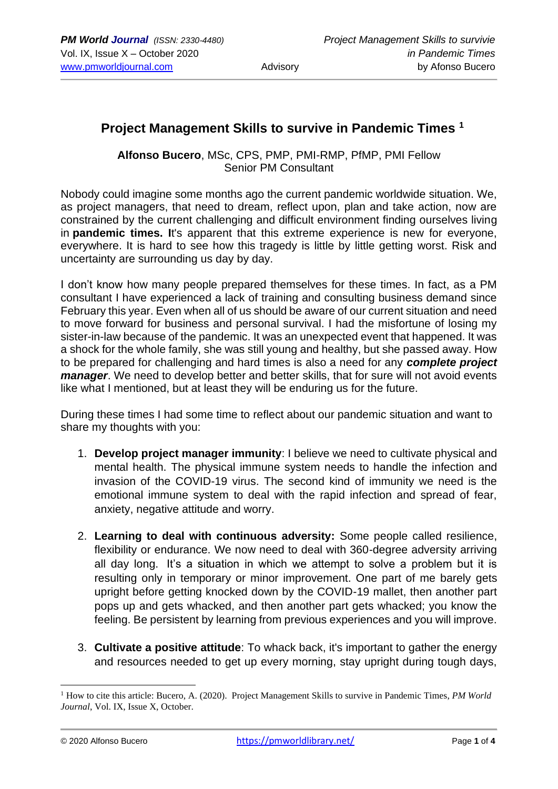# **Project Management Skills to survive in Pandemic Times <sup>1</sup>**

**Alfonso Bucero**, MSc, CPS, PMP, PMI-RMP, PfMP, PMI Fellow Senior PM Consultant

Nobody could imagine some months ago the current pandemic worldwide situation. We, as project managers, that need to dream, reflect upon, plan and take action, now are constrained by the current challenging and difficult environment finding ourselves living in **pandemic times. I**t's apparent that this extreme experience is new for everyone, everywhere. It is hard to see how this tragedy is little by little getting worst. Risk and uncertainty are surrounding us day by day.

I don't know how many people prepared themselves for these times. In fact, as a PM consultant I have experienced a lack of training and consulting business demand since February this year. Even when all of us should be aware of our current situation and need to move forward for business and personal survival. I had the misfortune of losing my sister-in-law because of the pandemic. It was an unexpected event that happened. It was a shock for the whole family, she was still young and healthy, but she passed away. How to be prepared for challenging and hard times is also a need for any *complete project manager*. We need to develop better and better skills, that for sure will not avoid events like what I mentioned, but at least they will be enduring us for the future.

During these times I had some time to reflect about our pandemic situation and want to share my thoughts with you:

- 1. **Develop project manager immunity**: I believe we need to cultivate physical and mental health. The physical immune system needs to handle the infection and invasion of the COVID-19 virus. The second kind of immunity we need is the emotional immune system to deal with the rapid infection and spread of fear, anxiety, negative attitude and worry.
- 2. **Learning to deal with continuous adversity:** Some people called resilience, flexibility or endurance. We now need to deal with 360-degree adversity arriving all day long. It's a situation in which we attempt to solve a problem but it is resulting only in temporary or minor improvement. One part of me barely gets upright before getting knocked down by the COVID-19 mallet, then another part pops up and gets whacked, and then another part gets whacked; you know the feeling. Be persistent by learning from previous experiences and you will improve.
- 3. **Cultivate a positive attitude**: To whack back, it's important to gather the energy and resources needed to get up every morning, stay upright during tough days,

<sup>&</sup>lt;sup>1</sup> How to cite this article: Bucero, A. (2020). Project Management Skills to survive in Pandemic Times, *PM World Journal*, Vol. IX, Issue X, October.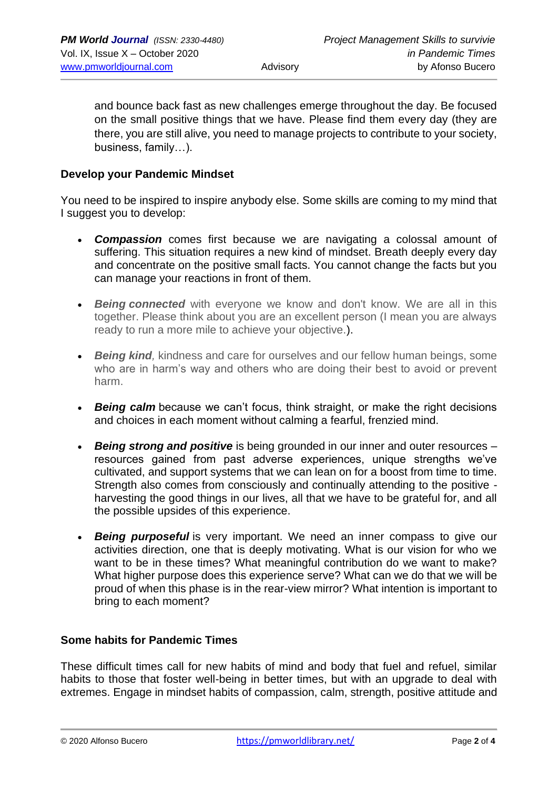and bounce back fast as new challenges emerge throughout the day. Be focused on the small positive things that we have. Please find them every day (they are there, you are still alive, you need to manage projects to contribute to your society, business, family…).

#### **Develop your Pandemic Mindset**

You need to be inspired to inspire anybody else. Some skills are coming to my mind that I suggest you to develop:

- *Compassion* comes first because we are navigating a colossal amount of suffering. This situation requires a new kind of mindset. Breath deeply every day and concentrate on the positive small facts. You cannot change the facts but you can manage your reactions in front of them.
- *Being connected* with everyone we know and don't know. We are all in this together. Please think about you are an excellent person (I mean you are always ready to run a more mile to achieve your objective.).
- *Being kind,* kindness and care for ourselves and our fellow human beings, some who are in harm's way and others who are doing their best to avoid or prevent harm.
- *Being calm* because we can't focus, think straight, or make the right decisions and choices in each moment without calming a fearful, frenzied mind.
- *Being strong and positive* is being grounded in our inner and outer resources resources gained from past adverse experiences, unique strengths we've cultivated, and support systems that we can lean on for a boost from time to time. Strength also comes from consciously and continually attending to the positive harvesting the good things in our lives, all that we have to be grateful for, and all the possible upsides of this experience.
- *Being purposeful* is very important. We need an inner compass to give our activities direction, one that is deeply motivating. What is our vision for who we want to be in these times? What meaningful contribution do we want to make? What higher purpose does this experience serve? What can we do that we will be proud of when this phase is in the rear-view mirror? What intention is important to bring to each moment?

#### **Some habits for Pandemic Times**

These difficult times call for new habits of mind and body that fuel and refuel, similar habits to those that foster well-being in better times, but with an upgrade to deal with extremes. Engage in mindset habits of compassion, calm, strength, positive attitude and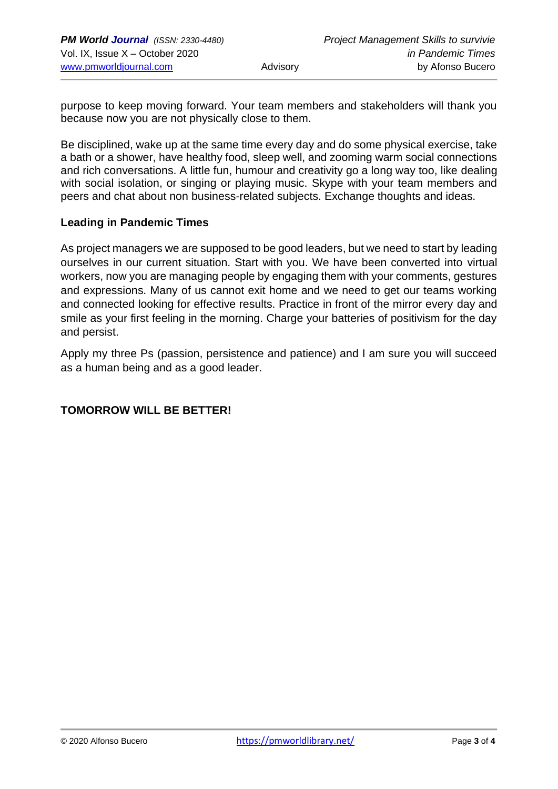purpose to keep moving forward. Your team members and stakeholders will thank you because now you are not physically close to them.

Be disciplined, wake up at the same time every day and do some physical exercise, take a bath or a shower, have healthy food, sleep well, and zooming warm social connections and rich conversations. A little fun, humour and creativity go a long way too, like dealing with social isolation, or singing or playing music. Skype with your team members and peers and chat about non business-related subjects. Exchange thoughts and ideas.

#### **Leading in Pandemic Times**

As project managers we are supposed to be good leaders, but we need to start by leading ourselves in our current situation. Start with you. We have been converted into virtual workers, now you are managing people by engaging them with your comments, gestures and expressions. Many of us cannot exit home and we need to get our teams working and connected looking for effective results. Practice in front of the mirror every day and smile as your first feeling in the morning. Charge your batteries of positivism for the day and persist.

Apply my three Ps (passion, persistence and patience) and I am sure you will succeed as a human being and as a good leader.

#### **TOMORROW WILL BE BETTER!**